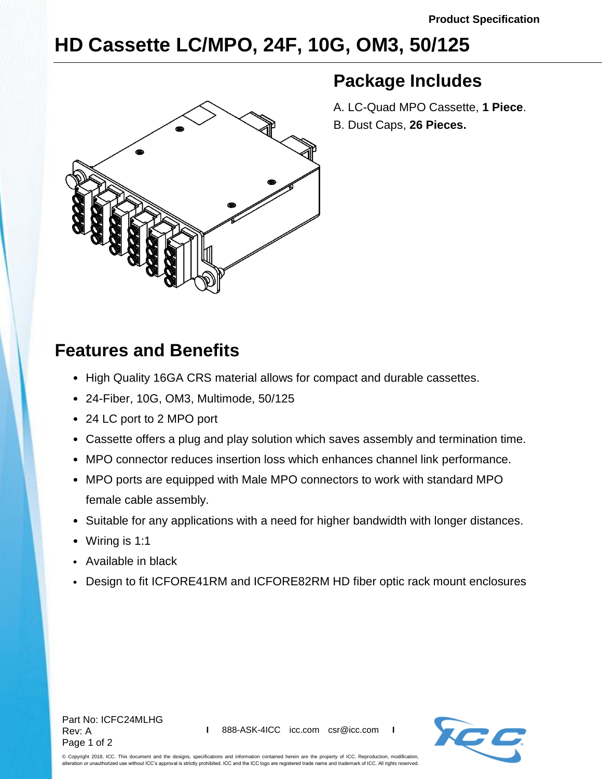## **HD Cassette LC/MPO, 24F, 10G, OM3, 50/125**



## **Package Includes**

A. LC-Quad MPO Cassette, **1 Piece**. B. Dust Caps, **26 Pieces.**

## **Features and Benefits**

- High Quality 16GA CRS material allows for compact and durable cassettes.
- 24-Fiber, 10G, OM3, Multimode, 50/125
- 24 LC port to 2 MPO port
- Cassette offers a plug and play solution which saves assembly and termination time.
- MPO connector reduces insertion loss which enhances channel link performance.
- MPO ports are equipped with Male MPO connectors to work with standard MPO female cable assembly.
- Suitable for any applications with a need for higher bandwidth with longer distances.
- Wiring is 1:1
- Available in black
- Design to fit ICFORE41RM and ICFORE82RM HD fiber optic rack mount enclosures



© Copyright 2018, ICC. This document and the designs, specifications and information contained herein are the property of ICC. Reproduction, modification, alteration or unauthorized use without ICC's approval is strictly prohibited. ICC and the ICC logo are registered trade name and trademark of ICC. All rights reserved.